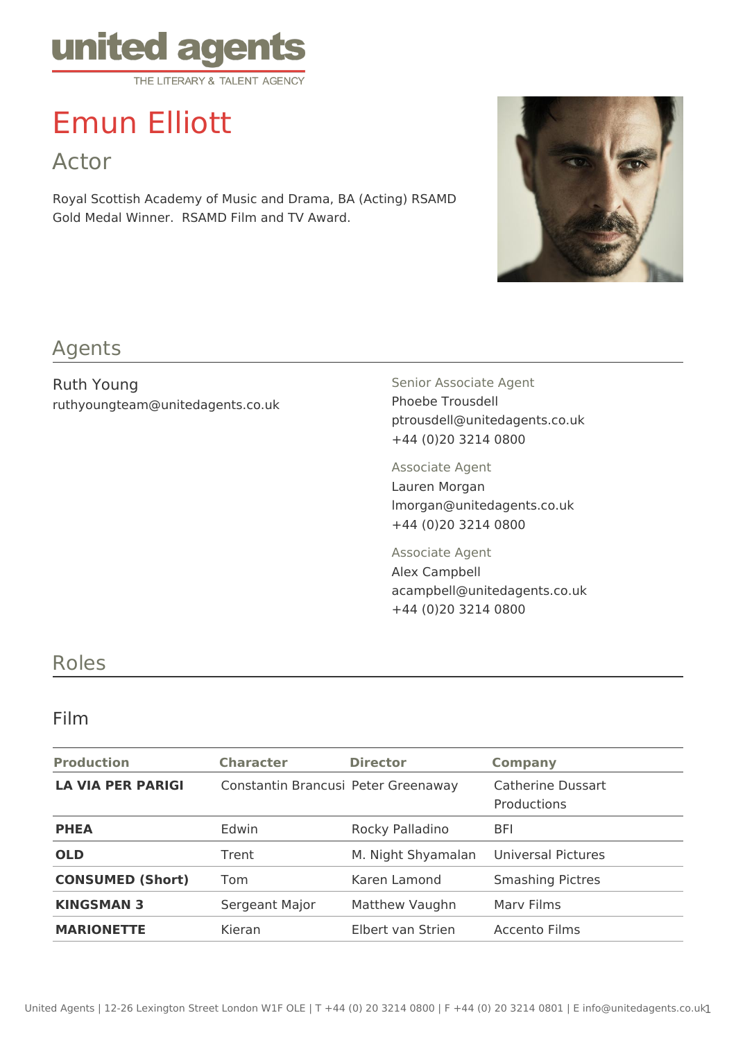

# Emun Elliott

Actor

Royal Scottish Academy of Music and Drama, BA (Acting) RSAMD Gold Medal Winner. RSAMD Film and TV Award.



#### Agents

Ruth Young ruthyoungteam@unitedagents.co.uk Senior Associate Agent Phoebe Trousdell ptrousdell@unitedagents.co.uk +44 (0)20 3214 0800

Associate Agent Lauren Morgan lmorgan@unitedagents.co.uk +44 (0)20 3214 0800

Associate Agent Alex Campbell acampbell@unitedagents.co.uk +44 (0)20 3214 0800

### Roles

#### Film

| <b>Production</b>        | <b>Character</b>                    | <b>Director</b>    | <b>Company</b>                   |
|--------------------------|-------------------------------------|--------------------|----------------------------------|
| <b>LA VIA PER PARIGI</b> | Constantin Brancusi Peter Greenaway |                    | Catherine Dussart<br>Productions |
| <b>PHEA</b>              | Edwin                               | Rocky Palladino    | <b>BFI</b>                       |
| <b>OLD</b>               | Trent                               | M. Night Shyamalan | Universal Pictures               |
| <b>CONSUMED (Short)</b>  | Tom                                 | Karen Lamond       | <b>Smashing Pictres</b>          |
| <b>KINGSMAN 3</b>        | Sergeant Major                      | Matthew Vaughn     | Mary Films                       |
| <b>MARIONETTE</b>        | Kieran                              | Elbert van Strien  | Accento Films                    |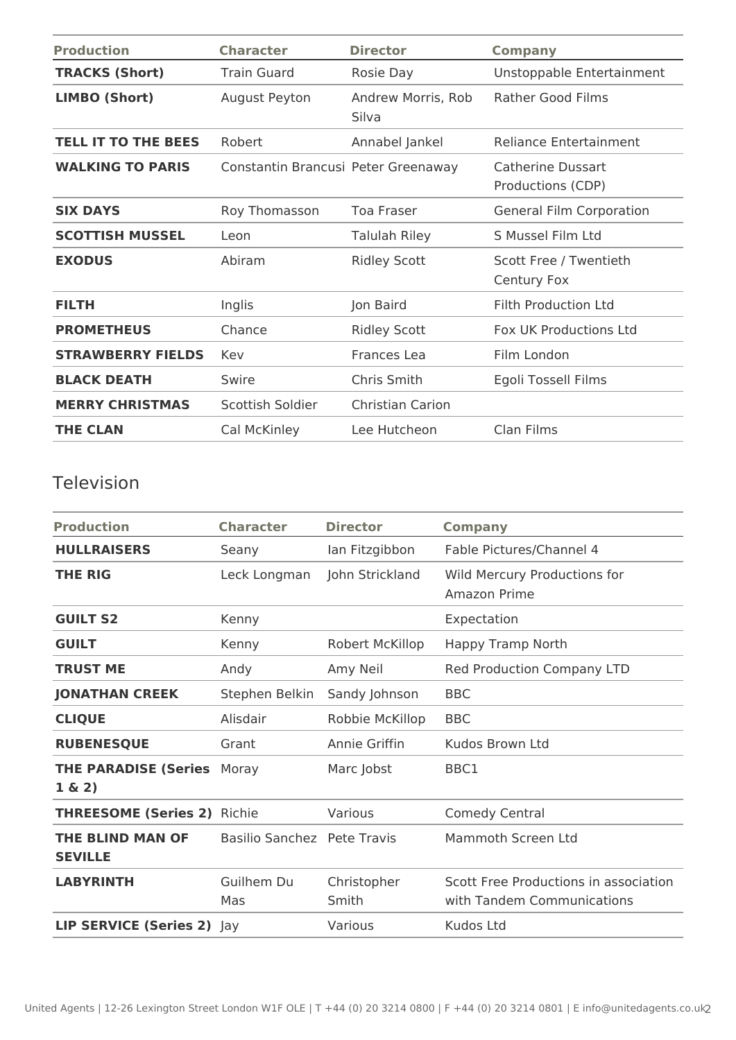| <b>Production</b>          | <b>Character</b>                    | <b>Director</b>             | <b>Company</b>                         |
|----------------------------|-------------------------------------|-----------------------------|----------------------------------------|
| <b>TRACKS (Short)</b>      | <b>Train Guard</b>                  | Rosie Day                   | Unstoppable Entertainment              |
| <b>LIMBO (Short)</b>       | August Peyton                       | Andrew Morris, Rob<br>Silva | <b>Rather Good Films</b>               |
| <b>TELL IT TO THE BEES</b> | Robert                              | Annabel Jankel              | <b>Reliance Entertainment</b>          |
| <b>WALKING TO PARIS</b>    | Constantin Brancusi Peter Greenaway |                             | Catherine Dussart<br>Productions (CDP) |
| <b>SIX DAYS</b>            | Roy Thomasson                       | Toa Fraser                  | <b>General Film Corporation</b>        |
| <b>SCOTTISH MUSSEL</b>     | Leon                                | <b>Talulah Riley</b>        | S Mussel Film Ltd                      |
| <b>EXODUS</b>              | Abiram                              | <b>Ridley Scott</b>         | Scott Free / Twentieth<br>Century Fox  |
| <b>FILTH</b>               | Inglis                              | Jon Baird                   | Filth Production Ltd                   |
| <b>PROMETHEUS</b>          | Chance                              | <b>Ridley Scott</b>         | <b>Fox UK Productions Ltd</b>          |
| <b>STRAWBERRY FIELDS</b>   | Kev                                 | Frances Lea                 | Film London                            |
| <b>BLACK DEATH</b>         | Swire                               | Chris Smith                 | Egoli Tossell Films                    |
| <b>MERRY CHRISTMAS</b>     | Scottish Soldier                    | Christian Carion            |                                        |
| <b>THE CLAN</b>            | Cal McKinley                        | Lee Hutcheon                | Clan Films                             |

#### Television

| <b>Production</b>                         | <b>Character</b>            | <b>Director</b>      | <b>Company</b>                                                      |
|-------------------------------------------|-----------------------------|----------------------|---------------------------------------------------------------------|
| <b>HULLRAISERS</b>                        | Seany                       | lan Fitzgibbon       | Fable Pictures/Channel 4                                            |
| <b>THE RIG</b>                            | Leck Longman                | John Strickland      | Wild Mercury Productions for<br>Amazon Prime                        |
| <b>GUILT S2</b>                           | Kenny                       |                      | Expectation                                                         |
| <b>GUILT</b>                              | Kenny                       | Robert McKillop      | Happy Tramp North                                                   |
| <b>TRUST ME</b>                           | Andy                        | Amy Neil             | Red Production Company LTD                                          |
| <b>JONATHAN CREEK</b>                     | Stephen Belkin              | Sandy Johnson        | <b>BBC</b>                                                          |
| <b>CLIQUE</b>                             | Alisdair                    | Robbie McKillop      | <b>BBC</b>                                                          |
| <b>RUBENESQUE</b>                         | Grant                       | Annie Griffin        | Kudos Brown Ltd                                                     |
| <b>THE PARADISE (Series</b><br>$1 \& 2)$  | Moray                       | Marc Jobst           | BBC1                                                                |
| <b>THREESOME (Series 2)</b> Richie        |                             | Various              | <b>Comedy Central</b>                                               |
| <b>THE BLIND MAN OF</b><br><b>SEVILLE</b> | Basilio Sanchez Pete Travis |                      | Mammoth Screen Ltd                                                  |
| <b>LABYRINTH</b>                          | Guilhem Du<br>Mas           | Christopher<br>Smith | Scott Free Productions in association<br>with Tandem Communications |
| LIP SERVICE (Series 2) Jay                |                             | Various              | Kudos Ltd                                                           |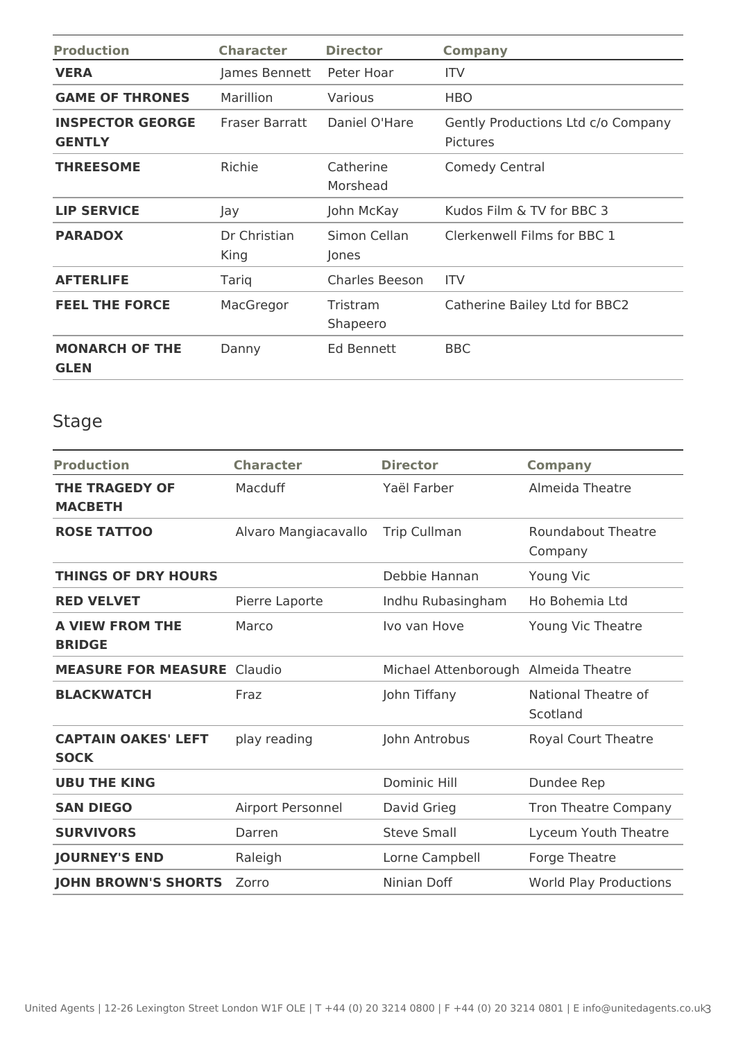| <b>Production</b>                        | <b>Character</b>     | <b>Director</b>       | <b>Company</b>                                        |
|------------------------------------------|----------------------|-----------------------|-------------------------------------------------------|
| <b>VERA</b>                              | James Bennett        | Peter Hoar            | <b>ITV</b>                                            |
| <b>GAME OF THRONES</b>                   | Marillion            | Various               | <b>HBO</b>                                            |
| <b>INSPECTOR GEORGE</b><br><b>GENTLY</b> | Fraser Barratt       | Daniel O'Hare         | Gently Productions Ltd c/o Company<br><b>Pictures</b> |
| <b>THREESOME</b>                         | Richie               | Catherine<br>Morshead | <b>Comedy Central</b>                                 |
| <b>LIP SERVICE</b>                       | Jay                  | John McKay            | Kudos Film & TV for BBC 3                             |
| <b>PARADOX</b>                           | Dr Christian<br>King | Simon Cellan<br>Jones | Clerkenwell Films for BBC 1                           |
| <b>AFTERLIFE</b>                         | Tariq                | <b>Charles Beeson</b> | <b>ITV</b>                                            |
| <b>FEEL THE FORCE</b>                    | MacGregor            | Tristram<br>Shapeero  | Catherine Bailey Ltd for BBC2                         |
| <b>MONARCH OF THE</b><br><b>GLEN</b>     | Danny                | Ed Bennett            | <b>BBC</b>                                            |

## Stage

| <b>Production</b>                         | <b>Character</b>     | <b>Director</b>                      | <b>Company</b>                       |
|-------------------------------------------|----------------------|--------------------------------------|--------------------------------------|
| <b>THE TRAGEDY OF</b><br><b>MACBETH</b>   | Macduff              | Yaël Farber                          | Almeida Theatre                      |
| <b>ROSE TATTOO</b>                        | Alvaro Mangiacavallo | <b>Trip Cullman</b>                  | <b>Roundabout Theatre</b><br>Company |
| <b>THINGS OF DRY HOURS</b>                |                      | Debbie Hannan                        | Young Vic                            |
| <b>RED VELVET</b>                         | Pierre Laporte       | Indhu Rubasingham                    | Ho Bohemia Ltd                       |
| <b>A VIEW FROM THE</b><br><b>BRIDGE</b>   | Marco                | Ivo van Hove                         | Young Vic Theatre                    |
| <b>MEASURE FOR MEASURE Claudio</b>        |                      | Michael Attenborough Almeida Theatre |                                      |
| <b>BLACKWATCH</b>                         | Fraz                 | John Tiffany                         | National Theatre of<br>Scotland      |
| <b>CAPTAIN OAKES' LEFT</b><br><b>SOCK</b> | play reading         | John Antrobus                        | Royal Court Theatre                  |
| <b>UBU THE KING</b>                       |                      | <b>Dominic Hill</b>                  | Dundee Rep                           |
| <b>SAN DIEGO</b>                          | Airport Personnel    | David Grieg                          | <b>Tron Theatre Company</b>          |
| <b>SURVIVORS</b>                          | Darren               | <b>Steve Small</b>                   | Lyceum Youth Theatre                 |
| <b>JOURNEY'S END</b>                      | Raleigh              | Lorne Campbell                       | Forge Theatre                        |
| <b>JOHN BROWN'S SHORTS</b>                | Zorro                | Ninian Doff                          | <b>World Play Productions</b>        |